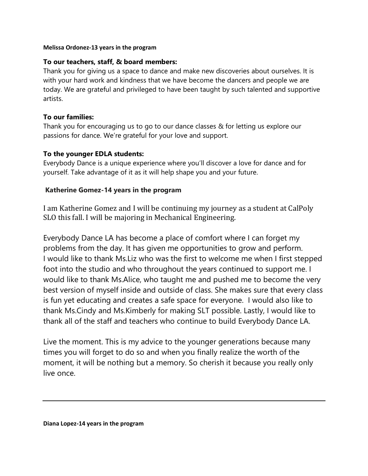#### **Melissa Ordonez-13 years in the program**

### **To our teachers, staff, & board members:**

Thank you for giving us a space to dance and make new discoveries about ourselves. It is with your hard work and kindness that we have become the dancers and people we are today. We are grateful and privileged to have been taught by such talented and supportive artists.

### **To our families:**

Thank you for encouraging us to go to our dance classes & for letting us explore our passions for dance. We're grateful for your love and support.

#### **To the younger EDLA students:**

Everybody Dance is a unique experience where you'll discover a love for dance and for yourself. Take advantage of it as it will help shape you and your future.

#### **Katherine Gomez-14 years in the program**

I am Katherine Gomez and I will be continuing my journey as a student at CalPoly SLO this fall. I will be majoring in Mechanical Engineering.

Everybody Dance LA has become a place of comfort where I can forget my problems from the day. It has given me opportunities to grow and perform. I would like to thank Ms.Liz who was the first to welcome me when I first stepped foot into the studio and who throughout the years continued to support me. I would like to thank Ms.Alice, who taught me and pushed me to become the very best version of myself inside and outside of class. She makes sure that every class is fun yet educating and creates a safe space for everyone. I would also like to thank Ms.Cindy and Ms.Kimberly for making SLT possible. Lastly, I would like to thank all of the staff and teachers who continue to build Everybody Dance LA.

Live the moment. This is my advice to the younger generations because many times you will forget to do so and when you finally realize the worth of the moment, it will be nothing but a memory. So cherish it because you really only live once.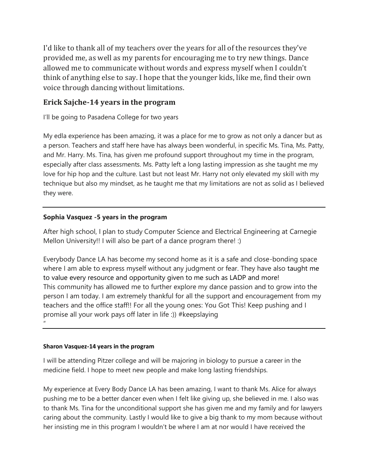I'd like to thank all of my teachers over the years for all of the resources they've provided me, as well as my parents for encouraging me to try new things. Dance allowed me to communicate without words and express myself when I couldn't think of anything else to say. I hope that the younger kids, like me, find their own voice through dancing without limitations.

# **Erick Sajche-14 years in the program**

I'll be going to Pasadena College for two years

My edla experience has been amazing, it was a place for me to grow as not only a dancer but as a person. Teachers and staff here have has always been wonderful, in specific Ms. Tina, Ms. Patty, and Mr. Harry. Ms. Tina, has given me profound support throughout my time in the program, especially after class assessments. Ms. Patty left a long lasting impression as she taught me my love for hip hop and the culture. Last but not least Mr. Harry not only elevated my skill with my technique but also my mindset, as he taught me that my limitations are not as solid as I believed they were.

## **Sophia Vasquez -5 years in the program**

After high school, I plan to study Computer Science and Electrical Engineering at Carnegie Mellon University!! I will also be part of a dance program there! :)

Everybody Dance LA has become my second home as it is a safe and close-bonding space where I am able to express myself without any judgment or fear. They have also taught me to value every resource and opportunity given to me such as LADP and more! This community has allowed me to further explore my dance passion and to grow into the person I am today. I am extremely thankful for all the support and encouragement from my teachers and the office staff!! For all the young ones: You Got This! Keep pushing and I promise all your work pays off later in life :)) #keepslaying "

#### **Sharon Vasquez-14 years in the program**

I will be attending Pitzer college and will be majoring in biology to pursue a career in the medicine field. I hope to meet new people and make long lasting friendships.

My experience at Every Body Dance LA has been amazing, I want to thank Ms. Alice for always pushing me to be a better dancer even when I felt like giving up, she believed in me. I also was to thank Ms. Tina for the unconditional support she has given me and my family and for lawyers caring about the community. Lastly I would like to give a big thank to my mom because without her insisting me in this program I wouldn't be where I am at nor would I have received the